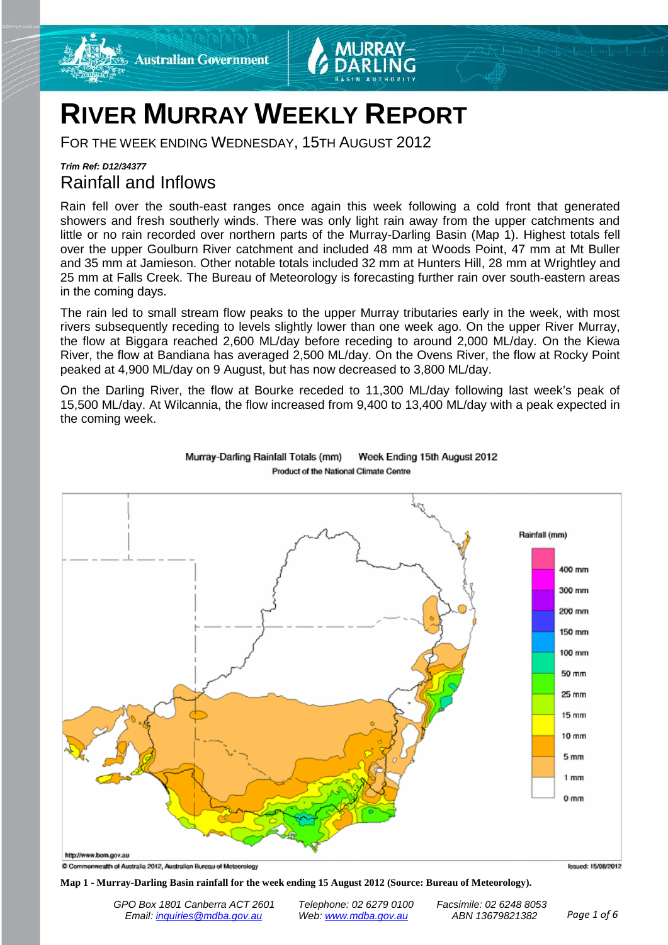



# **RIVER MURRAY WEEKLY REPORT**

FOR THE WEEK ENDING WEDNESDAY, 15TH AUGUST 2012

## *Trim Ref: D12/34377* Rainfall and Inflows

Rain fell over the south-east ranges once again this week following a cold front that generated showers and fresh southerly winds. There was only light rain away from the upper catchments and little or no rain recorded over northern parts of the Murray-Darling Basin (Map 1). Highest totals fell over the upper Goulburn River catchment and included 48 mm at Woods Point, 47 mm at Mt Buller and 35 mm at Jamieson. Other notable totals included 32 mm at Hunters Hill, 28 mm at Wrightley and 25 mm at Falls Creek. The Bureau of Meteorology is forecasting further rain over south-eastern areas in the coming days.

The rain led to small stream flow peaks to the upper Murray tributaries early in the week, with most rivers subsequently receding to levels slightly lower than one week ago. On the upper River Murray, the flow at Biggara reached 2,600 ML/day before receding to around 2,000 ML/day. On the Kiewa River, the flow at Bandiana has averaged 2,500 ML/day. On the Ovens River, the flow at Rocky Point peaked at 4,900 ML/day on 9 August, but has now decreased to 3,800 ML/day.

On the Darling River, the flow at Bourke receded to 11,300 ML/day following last week's peak of 15,500 ML/day. At Wilcannia, the flow increased from 9,400 to 13,400 ML/day with a peak expected in the coming week.



Murray-Darling Rainfall Totals (mm) Week Ending 15th August 2012 Product of the National Climate Centre

**Map 1 - Murray-Darling Basin rainfall for the week ending 15 August 2012 (Source: Bureau of Meteorology).**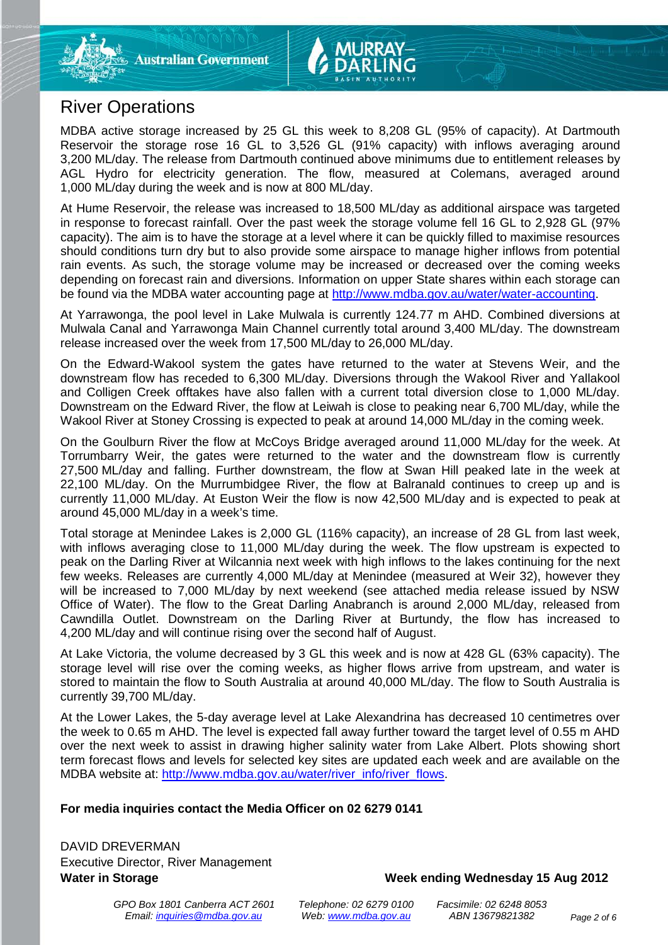# River Operations

MDBA active storage increased by 25 GL this week to 8,208 GL (95% of capacity). At Dartmouth Reservoir the storage rose 16 GL to 3,526 GL (91% capacity) with inflows averaging around 3,200 ML/day. The release from Dartmouth continued above minimums due to entitlement releases by AGL Hydro for electricity generation. The flow, measured at Colemans, averaged around 1,000 ML/day during the week and is now at 800 ML/day.

At Hume Reservoir, the release was increased to 18,500 ML/day as additional airspace was targeted in response to forecast rainfall. Over the past week the storage volume fell 16 GL to 2,928 GL (97% capacity). The aim is to have the storage at a level where it can be quickly filled to maximise resources should conditions turn dry but to also provide some airspace to manage higher inflows from potential rain events. As such, the storage volume may be increased or decreased over the coming weeks depending on forecast rain and diversions. Information on upper State shares within each storage can be found via the MDBA water accounting page at [http://www.mdba.gov.au/water/water-accounting.](http://www.mdba.gov.au/water/water-accounting)

At Yarrawonga, the pool level in Lake Mulwala is currently 124.77 m AHD. Combined diversions at Mulwala Canal and Yarrawonga Main Channel currently total around 3,400 ML/day. The downstream release increased over the week from 17,500 ML/day to 26,000 ML/day.

On the Edward-Wakool system the gates have returned to the water at Stevens Weir, and the downstream flow has receded to 6,300 ML/day. Diversions through the Wakool River and Yallakool and Colligen Creek offtakes have also fallen with a current total diversion close to 1,000 ML/day. Downstream on the Edward River, the flow at Leiwah is close to peaking near 6,700 ML/day, while the Wakool River at Stoney Crossing is expected to peak at around 14,000 ML/day in the coming week.

On the Goulburn River the flow at McCoys Bridge averaged around 11,000 ML/day for the week. At Torrumbarry Weir, the gates were returned to the water and the downstream flow is currently 27,500 ML/day and falling. Further downstream, the flow at Swan Hill peaked late in the week at 22,100 ML/day. On the Murrumbidgee River, the flow at Balranald continues to creep up and is currently 11,000 ML/day. At Euston Weir the flow is now 42,500 ML/day and is expected to peak at around 45,000 ML/day in a week's time.

Total storage at Menindee Lakes is 2,000 GL (116% capacity), an increase of 28 GL from last week, with inflows averaging close to 11,000 ML/day during the week. The flow upstream is expected to peak on the Darling River at Wilcannia next week with high inflows to the lakes continuing for the next few weeks. Releases are currently 4,000 ML/day at Menindee (measured at Weir 32), however they will be increased to 7,000 ML/day by next weekend (see attached media release issued by NSW Office of Water). The flow to the Great Darling Anabranch is around 2,000 ML/day, released from Cawndilla Outlet. Downstream on the Darling River at Burtundy, the flow has increased to 4,200 ML/day and will continue rising over the second half of August.

At Lake Victoria, the volume decreased by 3 GL this week and is now at 428 GL (63% capacity). The storage level will rise over the coming weeks, as higher flows arrive from upstream, and water is stored to maintain the flow to South Australia at around 40,000 ML/day. The flow to South Australia is currently 39,700 ML/day.

At the Lower Lakes, the 5-day average level at Lake Alexandrina has decreased 10 centimetres over the week to 0.65 m AHD. The level is expected fall away further toward the target level of 0.55 m AHD over the next week to assist in drawing higher salinity water from Lake Albert. Plots showing short term forecast flows and levels for selected key sites are updated each week and are available on the MDBA website at: [http://www.mdba.gov.au/water/river\\_info/river\\_flows.](http://www.mdba.gov.au/water/river_info/river_flows)

### **For media inquiries contact the Media Officer on 02 6279 0141**

DAVID DREVERMAN Executive Director, River Management

### Water in Storage Week ending Wednesday 15 Aug 2012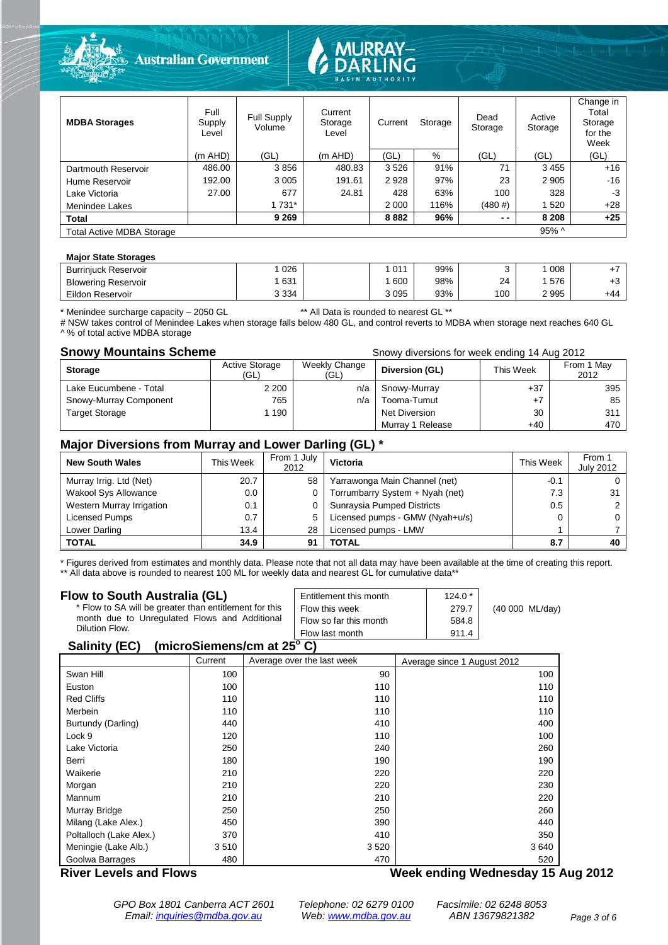

| <b>MDBA Storages</b>      | Full<br>Supply<br>Level | Full Supply<br>Volume | Current<br>Storage<br>Level | Current<br>Storage |      | Dead<br>Storage | Active<br>Storage | Change in<br>Total<br>Storage<br>for the<br>Week |
|---------------------------|-------------------------|-----------------------|-----------------------------|--------------------|------|-----------------|-------------------|--------------------------------------------------|
|                           | $(m$ AHD)               | (GL)                  | $(m$ AHD)                   | 'GL                | %    | (GL)            | (GL)              | (GL)                                             |
| Dartmouth Reservoir       | 486.00                  | 3856                  | 480.83                      | 3526               | 91%  | 71              | 3455              | $+16$                                            |
| Hume Reservoir            | 192.00                  | 3 0 0 5               | 191.61                      | 2928               | 97%  | 23              | 2 9 0 5           | $-16$                                            |
| Lake Victoria             | 27.00                   | 677                   | 24.81                       | 428                | 63%  | 100             | 328               | -3                                               |
| Menindee Lakes            |                         | 1 731*                |                             | 2 0 0 0            | 116% | (480#)          | 520               | $+28$                                            |
| <b>Total</b>              |                         | 9 2 6 9               |                             | 8882               | 96%  | $ -$            | 8 2 0 8           | $+25$                                            |
| Total Active MDBA Storage |                         |                       |                             |                    |      |                 | $95\%$ ^          |                                                  |

#### **Major State Storages**

| <b>Burriniuck Reservoir</b> | 026     | 011  | 99% |     | 008  |     |
|-----------------------------|---------|------|-----|-----|------|-----|
| <b>Blowering Reservoir</b>  | 631     | 600  | 98% | 24  | 576  | د.- |
| Eildon Reservoir            | 3 3 3 4 | 3095 | 93% | 100 | 2995 | +44 |

\* Menindee surcharge capacity – 2050 GL \*\* All Data is rounded to nearest GL \*\*

# NSW takes control of Menindee Lakes when storage falls below 480 GL, and control reverts to MDBA when storage next reaches 640 GL ^ % of total active MDBA storage

|  |  | lo or total dott to miss to corago |  |  |
|--|--|------------------------------------|--|--|
|  |  |                                    |  |  |
|  |  |                                    |  |  |

| <b>Snowy Mountains Scheme</b> | Snowy diversions for week ending 14 Aug 2012 |                       |                  |           |                    |  |
|-------------------------------|----------------------------------------------|-----------------------|------------------|-----------|--------------------|--|
| <b>Storage</b>                | <b>Active Storage</b><br>(GL)                | Weekly Change<br>(GL) | Diversion (GL)   | This Week | From 1 May<br>2012 |  |
| Lake Eucumbene - Total        | 2 2 0 0                                      | n/a                   | Snowy-Murray     | $+37$     | 395                |  |
| Snowy-Murray Component        | 765                                          | n/a                   | Tooma-Tumut      | $+7$      | 85                 |  |
| <b>Target Storage</b>         | 1 1 9 0                                      |                       | Net Diversion    | 30        | 311                |  |
|                               |                                              |                       | Murray 1 Release | $+40$     | 470                |  |

#### **Major Diversions from Murray and Lower Darling (GL) \***

| <b>New South Wales</b>    | This Week | From 1 July<br>2012 | Victoria                        | This Week | From 1<br><b>July 2012</b> |
|---------------------------|-----------|---------------------|---------------------------------|-----------|----------------------------|
| Murray Irrig. Ltd (Net)   | 20.7      | 58                  | Yarrawonga Main Channel (net)   | $-0.1$    |                            |
| Wakool Sys Allowance      | 0.0       | 0                   | Torrumbarry System + Nyah (net) | 7.3       | 31                         |
| Western Murray Irrigation | 0.1       |                     | Sunraysia Pumped Districts      | 0.5       |                            |
| Licensed Pumps            | 0.7       | 5                   | Licensed pumps - GMW (Nyah+u/s) |           |                            |
| Lower Darling             | 13.4      | 28                  | Licensed pumps - LMW            |           |                            |
| <b>TOTAL</b>              | 34.9      | 91                  | <b>TOTAL</b>                    | 8.7       | 40                         |

\* Figures derived from estimates and monthly data. Please note that not all data may have been available at the time of creating this report.

\*\* All data above is rounded to nearest 100 ML for weekly data and nearest GL for cumulative data\*\*

| Flow to South Australia (GL)<br>* Flow to SA will be greater than entitlement for this<br>month due to Unregulated Flows and Additional<br>Dilution Flow. |                           |  | Entitlement this month<br>Flow this week<br>Flow so far this month<br>Flow last month | $124.0*$<br>279.7<br>584.8<br>911.4 | (40 000 ML/day)                   |
|-----------------------------------------------------------------------------------------------------------------------------------------------------------|---------------------------|--|---------------------------------------------------------------------------------------|-------------------------------------|-----------------------------------|
| Salinity (EC)                                                                                                                                             | (microSiemens/cm at 25°C) |  |                                                                                       |                                     |                                   |
|                                                                                                                                                           | Current                   |  | Average over the last week                                                            | Average since 1 August 2012         |                                   |
| Swan Hill                                                                                                                                                 | 100                       |  | 90                                                                                    |                                     | 100                               |
| Euston                                                                                                                                                    | 100                       |  | 110                                                                                   |                                     | 110                               |
| <b>Red Cliffs</b>                                                                                                                                         | 110                       |  | 110                                                                                   |                                     | 110                               |
| Merbein                                                                                                                                                   | 110                       |  | 110                                                                                   |                                     | 110                               |
| Burtundy (Darling)                                                                                                                                        | 440                       |  | 410                                                                                   |                                     | 400                               |
| Lock 9                                                                                                                                                    | 120                       |  | 110                                                                                   |                                     | 100                               |
| Lake Victoria                                                                                                                                             | 250                       |  | 240                                                                                   |                                     | 260                               |
| Berri                                                                                                                                                     | 180                       |  | 190                                                                                   |                                     | 190                               |
| Waikerie                                                                                                                                                  | 210                       |  | 220                                                                                   |                                     | 220                               |
| Morgan                                                                                                                                                    | 210                       |  | 220                                                                                   |                                     | 230                               |
| Mannum                                                                                                                                                    | 210                       |  | 210                                                                                   |                                     | 220                               |
| Murray Bridge                                                                                                                                             | 250                       |  | 250                                                                                   |                                     | 260                               |
| Milang (Lake Alex.)                                                                                                                                       | 450                       |  | 390                                                                                   |                                     | 440                               |
| Poltalloch (Lake Alex.)                                                                                                                                   | 370                       |  | 410                                                                                   |                                     | 350                               |
| Meningie (Lake Alb.)                                                                                                                                      | 3510                      |  | 3520                                                                                  |                                     | 3640                              |
| Goolwa Barrages                                                                                                                                           | 480                       |  | 470                                                                                   |                                     | 520                               |
| <b>River Levels and Flows</b>                                                                                                                             |                           |  |                                                                                       |                                     | Week ending Wednesday 15 Aug 2012 |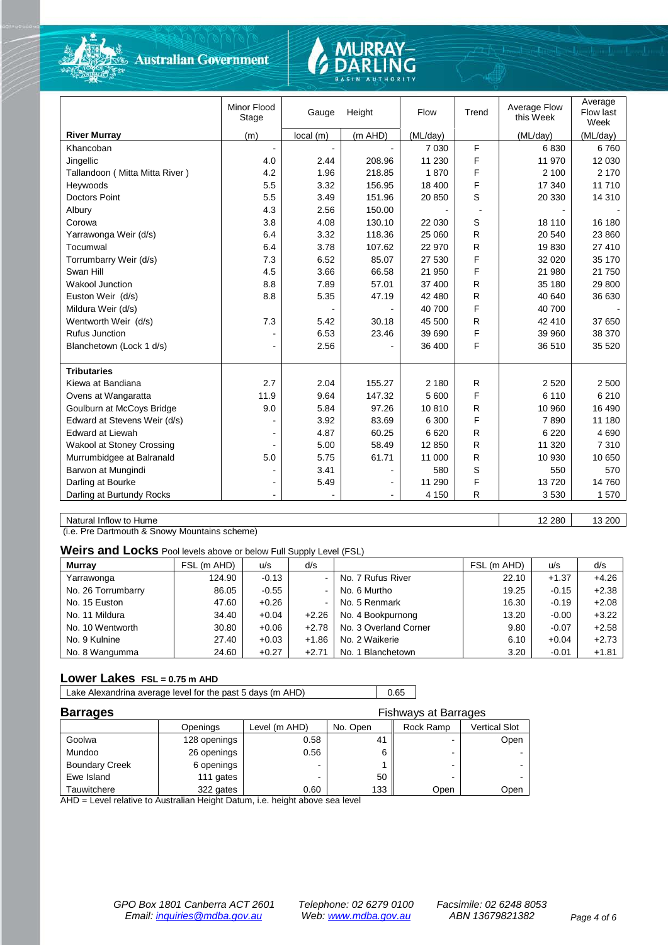

**Australian Government** 

# **JRRAY-**

|                                  | Minor Flood<br>Stage | Gauge    | Height    | Flow     | Trend          | Average Flow<br>this Week | Average<br>Flow last<br>Week |
|----------------------------------|----------------------|----------|-----------|----------|----------------|---------------------------|------------------------------|
| <b>River Murray</b>              | (m)                  | local(m) | $(m$ AHD) | (ML/day) |                | (ML/day)                  | (ML/day)                     |
| Khancoban                        |                      |          |           | 7 0 3 0  | F              | 6830                      | 6760                         |
| Jingellic                        | 4.0                  | 2.44     | 208.96    | 11 230   | F              | 11 970                    | 12 030                       |
| Tallandoon (Mitta Mitta River)   | 4.2                  | 1.96     | 218.85    | 1870     | F              | 2 100                     | 2 1 7 0                      |
| Heywoods                         | 5.5                  | 3.32     | 156.95    | 18 400   | F              | 17 340                    | 11710                        |
| <b>Doctors Point</b>             | 5.5                  | 3.49     | 151.96    | 20 850   | S              | 20 330                    | 14 310                       |
| Albury                           | 4.3                  | 2.56     | 150.00    |          | $\overline{a}$ |                           |                              |
| Corowa                           | 3.8                  | 4.08     | 130.10    | 22 030   | S              | 18 110                    | 16 180                       |
| Yarrawonga Weir (d/s)            | 6.4                  | 3.32     | 118.36    | 25 060   | R              | 20 540                    | 23 860                       |
| Tocumwal                         | 6.4                  | 3.78     | 107.62    | 22 970   | R              | 19830                     | 27 410                       |
| Torrumbarry Weir (d/s)           | 7.3                  | 6.52     | 85.07     | 27 530   | F              | 32 0 20                   | 35 170                       |
| Swan Hill                        | 4.5                  | 3.66     | 66.58     | 21 950   | F              | 21 980                    | 21 750                       |
| <b>Wakool Junction</b>           | 8.8                  | 7.89     | 57.01     | 37 400   | R              | 35 180                    | 29 800                       |
| Euston Weir (d/s)                | 8.8                  | 5.35     | 47.19     | 42 480   | R              | 40 640                    | 36 630                       |
| Mildura Weir (d/s)               |                      |          |           | 40 700   | F              | 40 700                    |                              |
| Wentworth Weir (d/s)             | 7.3                  | 5.42     | 30.18     | 45 500   | R              | 42 410                    | 37 650                       |
| Rufus Junction                   |                      | 6.53     | 23.46     | 39 690   | F              | 39 960                    | 38 370                       |
| Blanchetown (Lock 1 d/s)         |                      | 2.56     |           | 36 400   | F              | 36 510                    | 35 5 20                      |
|                                  |                      |          |           |          |                |                           |                              |
| <b>Tributaries</b>               |                      |          |           |          |                |                           |                              |
| Kiewa at Bandiana                | 2.7                  | 2.04     | 155.27    | 2 180    | R              | 2 5 20                    | 2 500                        |
| Ovens at Wangaratta              | 11.9                 | 9.64     | 147.32    | 5 600    | F              | 6 1 1 0                   | 6 2 1 0                      |
| Goulburn at McCoys Bridge        | 9.0                  | 5.84     | 97.26     | 10810    | R              | 10 960                    | 16 490                       |
| Edward at Stevens Weir (d/s)     |                      | 3.92     | 83.69     | 6 300    | F              | 7890                      | 11 180                       |
| Edward at Liewah                 |                      | 4.87     | 60.25     | 6620     | R              | 6 2 2 0                   | 4690                         |
| <b>Wakool at Stoney Crossing</b> |                      | 5.00     | 58.49     | 12 850   | R              | 11 320                    | 7 3 1 0                      |
| Murrumbidgee at Balranald        | 5.0                  | 5.75     | 61.71     | 11 000   | R              | 10 930                    | 10 650                       |
| Barwon at Mungindi               |                      | 3.41     |           | 580      | S              | 550                       | 570                          |
| Darling at Bourke                | $\blacksquare$       | 5.49     |           | 11 290   | F              | 13720                     | 14 760                       |
| Darling at Burtundy Rocks        |                      |          |           | 4 1 5 0  | R              | 3530                      | 1570                         |
|                                  |                      |          |           |          |                |                           |                              |

Natural Inflow to Hume 12 280 13 200

(i.e. Pre Dartmouth & Snowy Mountains scheme)

#### **Weirs and Locks** Pool levels above or below Full Supply Level (FSL)

| <b>Murray</b>      | FSL (m AHD) | u/s     | d/s      |                       | FSL (m AHD) | u/s     | d/s     |
|--------------------|-------------|---------|----------|-----------------------|-------------|---------|---------|
| Yarrawonga         | 124.90      | $-0.13$ | $\sim$ 1 | No. 7 Rufus River     | 22.10       | $+1.37$ | $+4.26$ |
| No. 26 Torrumbarry | 86.05       | $-0.55$ | $\sim$   | No. 6 Murtho          | 19.25       | $-0.15$ | $+2.38$ |
| No. 15 Euston      | 47.60       | $+0.26$ | $\sim$   | No. 5 Renmark         | 16.30       | $-0.19$ | $+2.08$ |
| No. 11 Mildura     | 34.40       | $+0.04$ | $+2.26$  | No. 4 Bookpurnong     | 13.20       | $-0.00$ | $+3.22$ |
| No. 10 Wentworth   | 30.80       | $+0.06$ | $+2.78$  | No. 3 Overland Corner | 9.80        | $-0.07$ | $+2.58$ |
| No. 9 Kulnine      | 27.40       | $+0.03$ | $+1.86$  | No. 2 Waikerie        | 6.10        | $+0.04$ | $+2.73$ |
| No. 8 Wangumma     | 24.60       | $+0.27$ | $+2.71$  | No. 1 Blanchetown     | 3.20        | $-0.01$ | $+1.81$ |

#### **Lower Lakes FSL = 0.75 m AHD**

Lake Alexandrina average level for the past 5 days (m AHD) 0.65

| <b>Barrages</b>       | Fishways at Barrages |               |          |           |                      |  |  |
|-----------------------|----------------------|---------------|----------|-----------|----------------------|--|--|
|                       | Openings             | Level (m AHD) | No. Open | Rock Ramp | <b>Vertical Slot</b> |  |  |
| Goolwa                | 128 openings         | 0.58          | 41       |           | Open                 |  |  |
| Mundoo                | 26 openings          | 0.56          | 6        |           |                      |  |  |
| <b>Boundary Creek</b> | 6 openings           |               |          |           |                      |  |  |
| Ewe Island            | 111 gates            |               | 50       |           |                      |  |  |
| Tauwitchere           | 322 gates            | 0.60          | 133      | Open      | Open                 |  |  |

AHD = Level relative to Australian Height Datum, i.e. height above sea level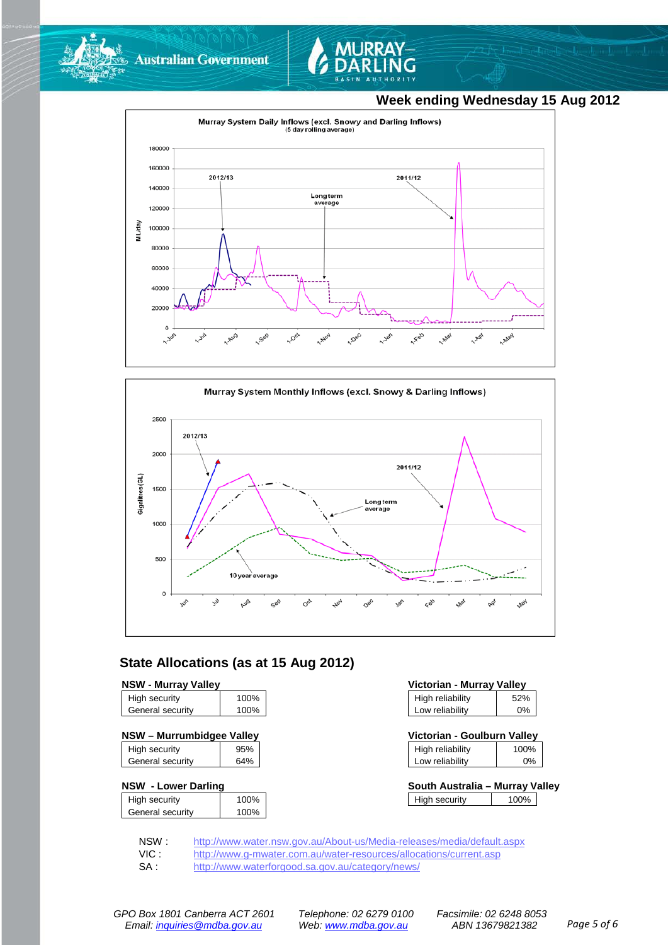



### **Week ending Wednesday 15 Aug 2012**





## **State Allocations (as at 15 Aug 2012)**

#### **NSW - Murray Valley**

| High security    | 100% |
|------------------|------|
| General security | 100% |
|                  |      |

| High security    | 95% |
|------------------|-----|
| General security | 64% |

#### **NSW - Lower Darling**

| High security    | 100% |
|------------------|------|
| General security | 100% |
|                  |      |

| Victorian - Murray Valley |       |  |  |
|---------------------------|-------|--|--|
| High reliability          | 52%   |  |  |
| Low reliability           | $0\%$ |  |  |

| NSW - Murrumbidgee Valley |     |                  | Victorian - Goulburn Vallev |  |
|---------------------------|-----|------------------|-----------------------------|--|
| High security             | 05% | High reliability | በበ%                         |  |

| i ilyit reliability | 1 UU 70 |
|---------------------|---------|
| Low reliability     | 0%      |
|                     |         |

| South Australia - Murray Valley |      |  |
|---------------------------------|------|--|
| High security                   | 100% |  |

NSW : <http://www.water.nsw.gov.au/About-us/Media-releases/media/default.aspx><br>VIC : http://www.g-mwater.com.au/water-resources/allocations/current.asp

VIC : <http://www.g-mwater.com.au/water-resources/allocations/current.asp><br>SA : http://www.waterforgood.sa.gov.au/category/news/

<http://www.waterforgood.sa.gov.au/category/news/>

*GPO Box 1801 Canberra ACT 2601 Telephone: 02 6279 0100 Facsimile: 02 6248 8053 Email: [inquiries@mdba.gov.au](mailto:inquiries@mdba.gov.au) Web[: www.mdba.gov.au](http://www.mdba.gov.au/) ABN 13679821382 Page 5 of 6*